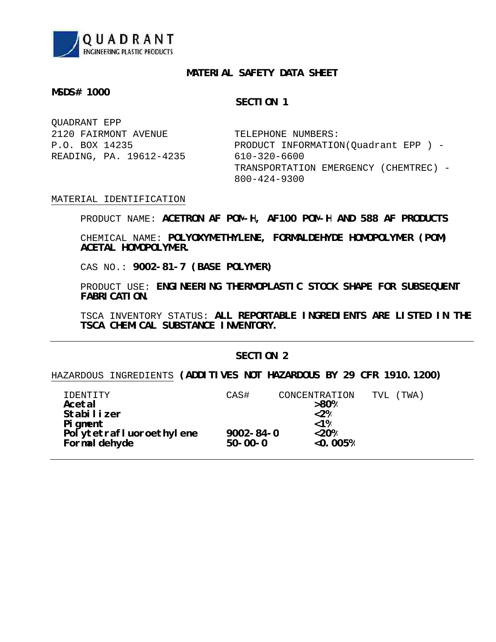

# **MATERIAL SAFETY DATA SHEET**

## **MSDS# 1000**

# **SECTION 1**

| OUADRANT EPP            |                                       |
|-------------------------|---------------------------------------|
| 2120 FAIRMONT AVENUE    | TELEPHONE NUMBERS:                    |
| P.O. BOX 14235          | PRODUCT INFORMATION(Quadrant EPP) -   |
| READING, PA. 19612-4235 | 610-320-6600                          |
|                         | TRANSPORTATION EMERGENCY (CHEMTREC) - |
|                         | $800 - 424 - 9300$                    |

# MATERIAL IDENTIFICATION

**ACETRON AF POM-H, AF100 POM-H AND 588 AF PRODUCTS** PRODUCT NAME:

**POLYOXYMETHYLENE, FORMALDEHYDE HOMOPOLYMER (POM)** CHEMICAL NAME: **ACETAL HOMOPOLYMER.**

**9002-81-7 (BASE POLYMER)** CAS NO.:

**ENGINEERING THERMOPLASTIC STOCK SHAPE FOR SUBSEQUENT** PRODUCT USE: **FABRICATION.**

**ALL REPORTABLE INGREDIENTS ARE LISTED IN THE** TSCA INVENTORY STATUS: **TSCA CHEMICAL SUBSTANCE INVENTORY.**

# **SECTION 2**

**(ADDITIVES NOT HAZARDOUS BY 29 CFR 1910.1200)** HAZARDOUS INGREDIENTS

| TDENTTTY                | CAS#            | CONCENTRATION          | (TWA)<br>TVL |
|-------------------------|-----------------|------------------------|--------------|
| Acetal                  |                 | >80%                   |              |
| Stabilizer              |                 | < 2%                   |              |
| Pigment                 |                 | $< 1$ %                |              |
| Polytetrafluoroethylene | $9002 - 84 - 0$ | < 20%                  |              |
| Formaldehyde            | $50 - 00 - 0$   | $< 0.005$ <sup>8</sup> |              |
|                         |                 |                        |              |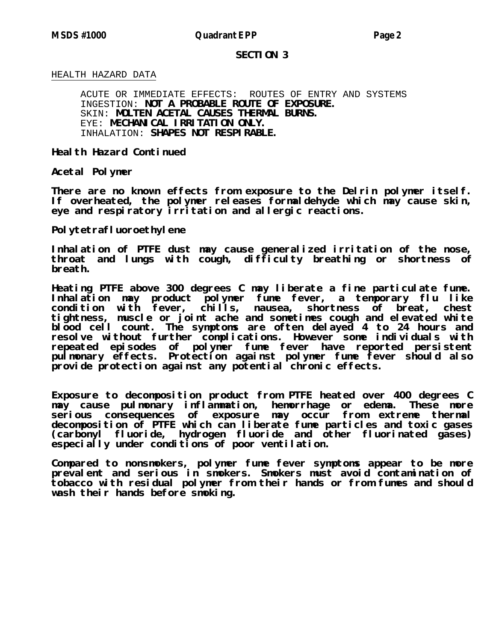### **SECTION 3**

# HEALTH HAZARD DATA

**NOT A PROBABLE ROUTE OF EXPOSURE.** INGESTION: **MOLTEN ACETAL CAUSES THERMAL BURNS.** SKIN: **MECHANICAL IRRITATION ONLY.** EYE: **SHAPES NOT RESPIRABLE.** INHALATION:ACUTE OR IMMEDIATE EFFECTS: ROUTES OF ENTRY AND SYSTEMS

**Health Hazard Continued**

**Acetal Polymer**

**There are no known effects from exposure to the Delrin polymer itself. If overheated, the polymer releases formaldehyde which may cause skin, eye and respiratory irritation and allergic reactions.**

**Polytetrafluoroethylene**

**Inhalation of PTFE dust may cause generalized irritation of the nose, throat and lungs with cough, difficulty breathing or shortness of breath.**

**Heating PTFE above 300 degrees C may liberate a fine particulate fume. Inhalation may product polymer fume fever, a temporary flu like condition with fever, chills, nausea, shortness of breat, chest tightness, muscle or joint ache and sometimes cough and elevated white blood cell count. The symptoms are often delayed 4 to 24 hours and resolve without further complications. However some individuals with repeated episodes of polymer fume fever have reported persistent pulmonary effects. Protection against polymer fume fever should also provide protection against any potential chronic effects.**

**Exposure to decomposition product from PTFE heated over 400 degrees C may cause pulmonary inflammation, hemorrhage or edema. These more serious consequences of exposure may occur from extreme thermal decomposition of PTFE which can liberate fume particles and toxic gases (carbonyl fluoride, hydrogen fluoride and other fluorinated gases) especially under conditions of poor ventilation.**

**Compared to nonsmokers, polymer fume fever symptoms appear to be more prevalent and serious in smokers. Smokers must avoid contamination of tobacco with residual polymer from their hands or from fumes and should wash their hands before smoking.**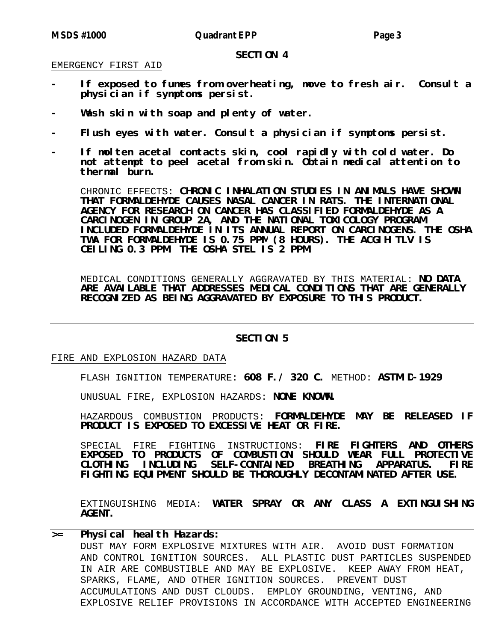#### **SECTION 4**

## EMERGENCY FIRST AID

- **- If exposed to fumes from overheating, move to fresh air. Consult a physician if symptoms persist.**
- **- Wash skin with soap and plenty of water.**
- **- Flush eyes with water. Consult a physician if symptoms persist.**
- **- If molten acetal contacts skin, cool rapidly with cold water. Do not attempt to peel acetal from skin. Obtain medical attention to thermal burn.**

**CHRONIC INHALATION STUDIES IN ANIMALS HAVE SHOWN** CHRONIC EFFECTS: **THAT FORMALDEHYDE CAUSES NASAL CANCER IN RATS. THE INTERNATIONAL AGENCY FOR RESEARCH ON CANCER HAS CLASSIFIED FORMALDEHYDE AS A CARCINOGEN IN GROUP 2A, AND THE NATIONAL TOXICOLOGY PROGRAM INCLUDED FORMALDEHYDE IN ITS ANNUAL REPORT ON CARCINOGENS. THE OSHA TWA FOR FORMALDEHYDE IS 0.75 PPM (8 HOURS). THE ACGIH TLV IS CEILING 0.3 PPM. THE OSHA STEL IS 2 PPM.**

MEDICAL CONDITIONS GENERALLY AGGRAVATED BY THIS MATERIAL: **NO DATA ARE AVAILABLE THAT ADDRESSES MEDICAL CONDITIONS THAT ARE GENERALLY RECOGNIZED AS BEING AGGRAVATED BY EXPOSURE TO THIS PRODUCT.**

### **SECTION 5**

## FIRE AND EXPLOSION HAZARD DATA

FLASH IGNITION TEMPERATURE: 608 F./ 320 C. METHOD: ASTM D-1929

UNUSUAL FIRE, EXPLOSION HAZARDS: **NONE KNOWN.** 

**FORMALDEHYDE MAY BE RELEASED IF** HAZARDOUS COMBUSTION PRODUCTS: **PRODUCT IS EXPOSED TO EXCESSIVE HEAT OR FIRE.**

**FIRE FIGHTERS AND OTHERS** SPECIAL FIRE FIGHTING INSTRUCTIONS: **EXPOSED TO PRODUCTS OF COMBUSTION SHOULD WEAR FULL PROTECTIVE CLOTHING INCLUDING SELF-CONTAINED BREATHING APPARATUS. FIRE FIGHTING EQUIPMENT SHOULD BE THOROUGHLY DECONTAMINATED AFTER USE.**

**WATER SPRAY OR ANY CLASS A EXTINGUISHING** EXTINGUISHING MEDIA: **AGENT.**

# **>= Physical health Hazards:**

DUST MAY FORM EXPLOSIVE MIXTURES WITH AIR. AVOID DUST FORMATION AND CONTROL IGNITION SOURCES. ALL PLASTIC DUST PARTICLES SUSPENDED IN AIR ARE COMBUSTIBLE AND MAY BE EXPLOSIVE. KEEP AWAY FROM HEAT, SPARKS, FLAME, AND OTHER IGNITION SOURCES. PREVENT DUST ACCUMULATIONS AND DUST CLOUDS. EMPLOY GROUNDING, VENTING, AND EXPLOSIVE RELIEF PROVISIONS IN ACCORDANCE WITH ACCEPTED ENGINEERING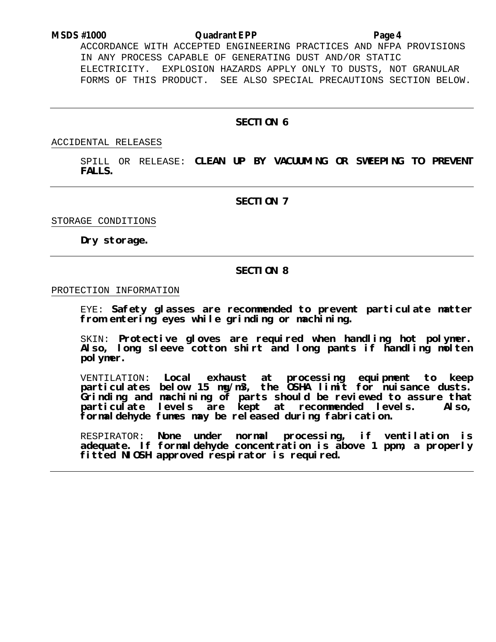# **MSDS #1000 Quadrant EPP Page 4**

ACCORDANCE WITH ACCEPTED ENGINEERING PRACTICES AND NFPA PROVISIONS IN ANY PROCESS CAPABLE OF GENERATING DUST AND/OR STATIC ELECTRICITY. EXPLOSION HAZARDS APPLY ONLY TO DUSTS, NOT GRANULAR FORMS OF THIS PRODUCT. SEE ALSO SPECIAL PRECAUTIONS SECTION BELOW.

# **SECTION 6**

ACCIDENTAL RELEASES

SPILL OR RELEASE: **CLEAN UP BY VACUUMING OR SWEEPING TO PREVENT FALLS.**

**SECTION 7**

STORAGE CONDITIONS

**Dry storage.**

### **SECTION 8**

# PROTECTION INFORMATION

EYE: **Safety glasses are recommended to prevent particulate matter from entering eyes while grinding or machining.**

SKIN: **Protective gloves are required when handling hot polymer. Also, long sleeve cotton shirt and long pants if handling molten polymer.**

VENTILATION: **Local exhaust at processing equipment to keep particulates below 15 mg/m3, the OSHA limit for nuisance dusts. Grinding and machining of parts should be reviewed to assure that particulate levels are kept at recommended levels. Also, formaldehyde fumes may be released during fabrication.**

RESPIRATOR: **None under normal processing, if ventilation is adequate. If formaldehyde concentration is above 1 ppm, a properly fitted NIOSH approved respirator is required.**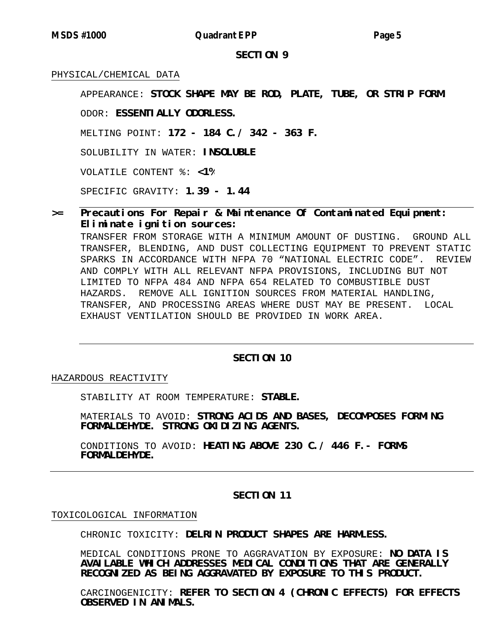**MSDS #1000 Quadrant EPP Page 5**

**SECTION 9**

# PHYSICAL/CHEMICAL DATA

**STOCK SHAPE MAY BE ROD, PLATE, TUBE, OR STRIP FORM.** APPEARANCE:

**ESSENTIALLY ODORLESS.** ODOR:

**172 - 184 C./ 342 - 363 F.** MELTING POINT:

SOLUBILITY IN WATER: INSOLUBLE

**<1%** VOLATILE CONTENT %:

**1.39 - 1.44** SPECIFIC GRAVITY:

# **>= Precautions For Repair & Maintenance Of Contaminated Equipment: Eliminate ignition sources:**

TRANSFER FROM STORAGE WITH A MINIMUM AMOUNT OF DUSTING. GROUND ALL TRANSFER, BLENDING, AND DUST COLLECTING EQUIPMENT TO PREVENT STATIC SPARKS IN ACCORDANCE WITH NFPA 70 "NATIONAL ELECTRIC CODE". REVIEW AND COMPLY WITH ALL RELEVANT NFPA PROVISIONS, INCLUDING BUT NOT LIMITED TO NFPA 484 AND NFPA 654 RELATED TO COMBUSTIBLE DUST HAZARDS. REMOVE ALL IGNITION SOURCES FROM MATERIAL HANDLING, TRANSFER, AND PROCESSING AREAS WHERE DUST MAY BE PRESENT. LOCAL EXHAUST VENTILATION SHOULD BE PROVIDED IN WORK AREA.

# **SECTION 10**

HAZARDOUS REACTIVITY

STABILITY AT ROOM TEMPERATURE: STABLE.

**STRONG ACIDS AND BASES, DECOMPOSES FORMING** MATERIALS TO AVOID: **FORMALDEHYDE. STRONG OXIDIZING AGENTS.**

**HEATING ABOVE 230 C./ 446 F.- FORMS** CONDITIONS TO AVOID: **FORMALDEHYDE.**

# **SECTION 11**

#### TOXICOLOGICAL INFORMATION

**DELRIN PRODUCT SHAPES ARE HARMLESS.** CHRONIC TOXICITY:

MEDICAL CONDITIONS PRONE TO AGGRAVATION BY EXPOSURE: **NO DATA IS AVAILABLE WHICH ADDRESSES MEDICAL CONDITIONS THAT ARE GENERALLY RECOGNIZED AS BEING AGGRAVATED BY EXPOSURE TO THIS PRODUCT.**

**REFER TO SECTION 4 (CHRONIC EFFECTS) FOR EFFECTS** CARCINOGENICITY:**OBSERVED IN ANIMALS.**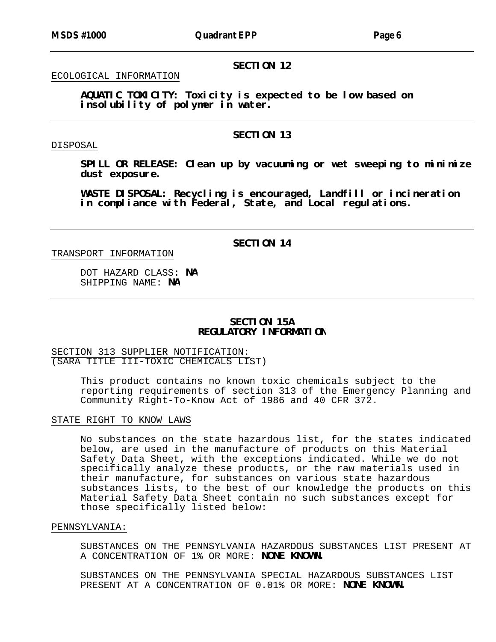# **SECTION 12**

# ECOLOGICAL INFORMATION

**AQUATIC TOXICITY: Toxicity is expected to be low based on insolubility of polymer in water.**

# **SECTION 13**

## DISPOSAL

**SPILL OR RELEASE: Clean up by vacuuming or wet sweeping to minimize dust exposure.**

**WASTE DISPOSAL: Recycling is encouraged, Landfill or incineration in compliance with Federal, State, and Local regulations.**

# TRANSPORT INFORMATION

**SECTION 14**

DOT HAZARD CLASS: NA SHIPPING NAME: NA

# **SECTION 15A REGULATORY INFORMATION**

# SECTION 313 SUPPLIER NOTIFICATION: (SARA TITLE III-TOXIC CHEMICALS LIST)

This product contains no known toxic chemicals subject to the reporting requirements of section 313 of the Emergency Planning and Community Right-To-Know Act of 1986 and 40 CFR 372.

# STATE RIGHT TO KNOW LAWS

No substances on the state hazardous list, for the states indicated below, are used in the manufacture of products on this Material Safety Data Sheet, with the exceptions indicated. While we do not specifically analyze these products, or the raw materials used in their manufacture, for substances on various state hazardous substances lists, to the best of our knowledge the products on this Material Safety Data Sheet contain no such substances except for those specifically listed below:

# PENNSYLVANIA:

A CONCENTRATION OF 1% OR MORE: **NONE KNOWN.** SUBSTANCES ON THE PENNSYLVANIA HAZARDOUS SUBSTANCES LIST PRESENT AT

PRESENT AT A CONCENTRATION OF 0.01% OR MORE: **NONE KNOWN.** SUBSTANCES ON THE PENNSYLVANIA SPECIAL HAZARDOUS SUBSTANCES LIST